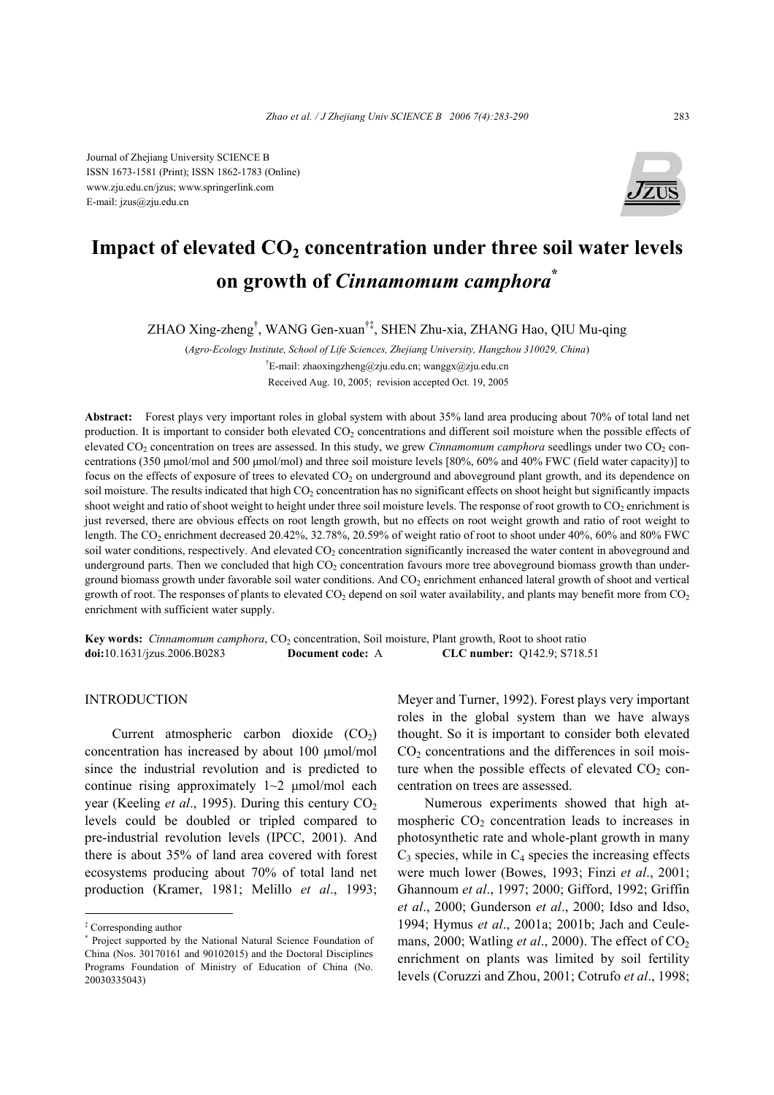Journal of Zhejiang University SCIENCE B ISSN 1673-1581 (Print); ISSN 1862-1783 (Online) www.zju.edu.cn/jzus; www.springerlink.com E-mail: jzus@zju.edu.cn



# Impact of elevated  $CO<sub>2</sub>$  concentration under three soil water levels **on growth of** *Cinnamomum camphora***\***

ZHAO Xing-zheng† , WANG Gen-xuan†‡, SHEN Zhu-xia, ZHANG Hao, QIU Mu-qing

(*Agro-Ecology Institute, School of Life Sciences, Zhejiang University, Hangzhou 310029, China*) <sup>†</sup>E-mail: zhaoxingzheng@zju.edu.cn; wanggx@zju.edu.cn Received Aug. 10, 2005; revision accepted Oct. 19, 2005

**Abstract:** Forest plays very important roles in global system with about 35% land area producing about 70% of total land net production. It is important to consider both elevated CO<sub>2</sub> concentrations and different soil moisture when the possible effects of elevated CO<sub>2</sub> concentration on trees are assessed. In this study, we grew *Cinnamomum camphora* seedlings under two CO<sub>2</sub> concentrations (350 µmol/mol and 500 µmol/mol) and three soil moisture levels [80%, 60% and 40% FWC (field water capacity)] to focus on the effects of exposure of trees to elevated  $CO<sub>2</sub>$  on underground and aboveground plant growth, and its dependence on soil moisture. The results indicated that high CO<sub>2</sub> concentration has no significant effects on shoot height but significantly impacts shoot weight and ratio of shoot weight to height under three soil moisture levels. The response of root growth to CO<sub>2</sub> enrichment is just reversed, there are obvious effects on root length growth, but no effects on root weight growth and ratio of root weight to length. The CO<sub>2</sub> enrichment decreased 20.42%, 32.78%, 20.59% of weight ratio of root to shoot under 40%, 60% and 80% FWC soil water conditions, respectively. And elevated CO<sub>2</sub> concentration significantly increased the water content in aboveground and underground parts. Then we concluded that high  $CO<sub>2</sub>$  concentration favours more tree aboveground biomass growth than underground biomass growth under favorable soil water conditions. And  $CO<sub>2</sub>$  enrichment enhanced lateral growth of shoot and vertical growth of root. The responses of plants to elevated  $CO<sub>2</sub>$  depend on soil water availability, and plants may benefit more from  $CO<sub>2</sub>$ enrichment with sufficient water supply.

**Key words:** *Cinnamomum camphora*, CO<sub>2</sub> concentration, Soil moisture, Plant growth, Root to shoot ratio **doi:**10.1631/jzus.2006.B0283 **Document code:** A **CLC number:** Q142.9; S718.51

## INTRODUCTION

Current atmospheric carbon dioxide  $(CO<sub>2</sub>)$ concentration has increased by about 100 µmol/mol since the industrial revolution and is predicted to continue rising approximately  $1~2$   $\mu$ mol/mol each year (Keeling *et al.*, 1995). During this century CO<sub>2</sub> levels could be doubled or tripled compared to pre-industrial revolution levels (IPCC, 2001). And there is about 35% of land area covered with forest ecosystems producing about 70% of total land net production (Kramer, 1981; Melillo *et al*., 1993;

Meyer and Turner, 1992). Forest plays very important roles in the global system than we have always thought. So it is important to consider both elevated  $CO<sub>2</sub>$  concentrations and the differences in soil moisture when the possible effects of elevated  $CO<sub>2</sub>$  concentration on trees are assessed.

Numerous experiments showed that high atmospheric  $CO<sub>2</sub>$  concentration leads to increases in photosynthetic rate and whole-plant growth in many  $C_3$  species, while in  $C_4$  species the increasing effects were much lower (Bowes, 1993; Finzi *et al*., 2001; Ghannoum *et al*., 1997; 2000; Gifford, 1992; Griffin *et al*., 2000; Gunderson *et al*., 2000; Idso and Idso, 1994; Hymus *et al*., 2001a; 2001b; Jach and Ceulemans, 2000; Watling *et al.*, 2000). The effect of CO<sub>2</sub> enrichment on plants was limited by soil fertility levels (Coruzzi and Zhou, 2001; Cotrufo *et al*., 1998;

<sup>‡</sup> Corresponding author

<sup>\*</sup> Project supported by the National Natural Science Foundation of China (Nos. 30170161 and 90102015) and the Doctoral Disciplines Programs Foundation of Ministry of Education of China (No. 20030335043)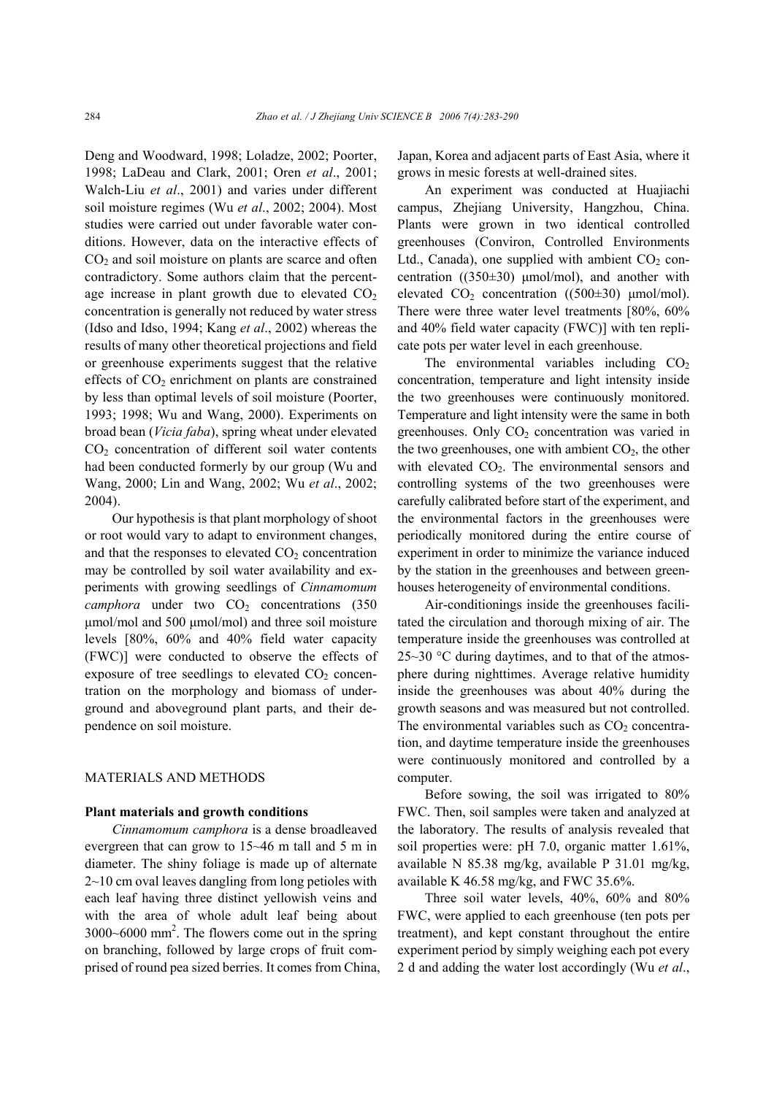Deng and Woodward, 1998; Loladze, 2002; Poorter, 1998; LaDeau and Clark, 2001; Oren *et al*., 2001; Walch-Liu *et al*., 2001) and varies under different soil moisture regimes (Wu *et al*., 2002; 2004). Most studies were carried out under favorable water conditions. However, data on the interactive effects of  $CO<sub>2</sub>$  and soil moisture on plants are scarce and often contradictory. Some authors claim that the percentage increase in plant growth due to elevated  $CO<sub>2</sub>$ concentration is generally not reduced by water stress (Idso and Idso, 1994; Kang *et al*., 2002) whereas the results of many other theoretical projections and field or greenhouse experiments suggest that the relative effects of  $CO<sub>2</sub>$  enrichment on plants are constrained by less than optimal levels of soil moisture (Poorter, 1993; 1998; Wu and Wang, 2000). Experiments on broad bean (*Vicia faba*), spring wheat under elevated  $CO<sub>2</sub>$  concentration of different soil water contents had been conducted formerly by our group (Wu and Wang, 2000; Lin and Wang, 2002; Wu *et al*., 2002; 2004).

Our hypothesis is that plant morphology of shoot or root would vary to adapt to environment changes, and that the responses to elevated  $CO<sub>2</sub>$  concentration may be controlled by soil water availability and experiments with growing seedlings of *Cinnamomum camphora* under two  $CO<sub>2</sub>$  concentrations (350) µmol/mol and 500 µmol/mol) and three soil moisture levels [80%, 60% and 40% field water capacity (FWC)] were conducted to observe the effects of exposure of tree seedlings to elevated  $CO<sub>2</sub>$  concentration on the morphology and biomass of underground and aboveground plant parts, and their dependence on soil moisture.

## MATERIALS AND METHODS

#### **Plant materials and growth conditions**

*Cinnamomum camphora* is a dense broadleaved evergreen that can grow to 15~46 m tall and 5 m in diameter. The shiny foliage is made up of alternate 2~10 cm oval leaves dangling from long petioles with each leaf having three distinct yellowish veins and with the area of whole adult leaf being about  $3000~6000$  mm<sup>2</sup>. The flowers come out in the spring on branching, followed by large crops of fruit comprised of round pea sized berries. It comes from China, Japan, Korea and adjacent parts of East Asia, where it grows in mesic forests at well-drained sites.

An experiment was conducted at Huajiachi campus, Zhejiang University, Hangzhou, China. Plants were grown in two identical controlled greenhouses (Conviron, Controlled Environments Ltd., Canada), one supplied with ambient  $CO<sub>2</sub>$  concentration  $((350±30) \mu mol/mol)$ , and another with elevated  $CO<sub>2</sub> concentration (500±30) \text{µmol/mol}.$ There were three water level treatments [80%, 60% and 40% field water capacity (FWC)] with ten replicate pots per water level in each greenhouse.

The environmental variables including  $CO<sub>2</sub>$ concentration, temperature and light intensity inside the two greenhouses were continuously monitored. Temperature and light intensity were the same in both greenhouses. Only  $CO<sub>2</sub>$  concentration was varied in the two greenhouses, one with ambient  $CO<sub>2</sub>$ , the other with elevated  $CO<sub>2</sub>$ . The environmental sensors and controlling systems of the two greenhouses were carefully calibrated before start of the experiment, and the environmental factors in the greenhouses were periodically monitored during the entire course of experiment in order to minimize the variance induced by the station in the greenhouses and between greenhouses heterogeneity of environmental conditions.

Air-conditionings inside the greenhouses facilitated the circulation and thorough mixing of air. The temperature inside the greenhouses was controlled at 25~30 °C during daytimes, and to that of the atmosphere during nighttimes. Average relative humidity inside the greenhouses was about 40% during the growth seasons and was measured but not controlled. The environmental variables such as  $CO<sub>2</sub>$  concentration, and daytime temperature inside the greenhouses were continuously monitored and controlled by a computer.

Before sowing, the soil was irrigated to 80% FWC. Then, soil samples were taken and analyzed at the laboratory. The results of analysis revealed that soil properties were: pH 7.0, organic matter 1.61%, available N 85.38 mg/kg, available P 31.01 mg/kg, available K 46.58 mg/kg, and FWC 35.6%.

Three soil water levels, 40%, 60% and 80% FWC, were applied to each greenhouse (ten pots per treatment), and kept constant throughout the entire experiment period by simply weighing each pot every 2 d and adding the water lost accordingly (Wu *et al*.,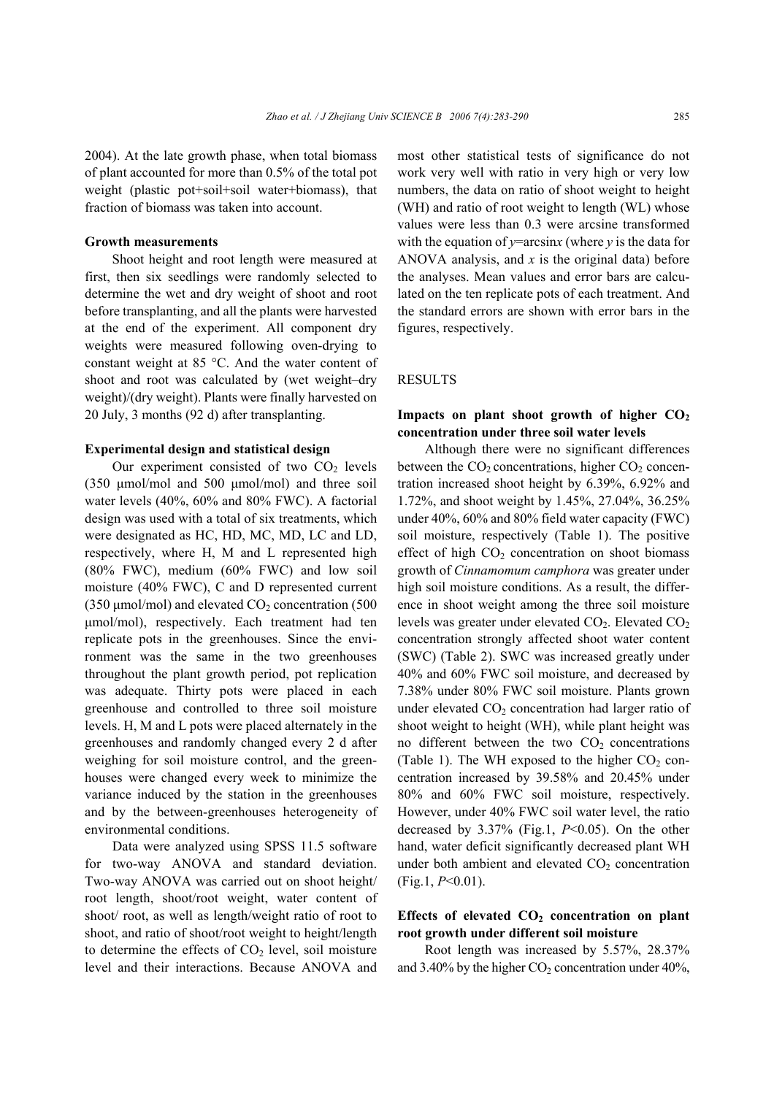2004). At the late growth phase, when total biomass of plant accounted for more than 0.5% of the total pot weight (plastic pot+soil+soil water+biomass), that fraction of biomass was taken into account.

# **Growth measurements**

Shoot height and root length were measured at first, then six seedlings were randomly selected to determine the wet and dry weight of shoot and root before transplanting, and all the plants were harvested at the end of the experiment. All component dry weights were measured following oven-drying to constant weight at 85 °C. And the water content of shoot and root was calculated by (wet weight–dry weight)/(dry weight). Plants were finally harvested on 20 July, 3 months (92 d) after transplanting.

#### **Experimental design and statistical design**

Our experiment consisted of two  $CO<sub>2</sub>$  levels (350 µmol/mol and 500 µmol/mol) and three soil water levels (40%, 60% and 80% FWC). A factorial design was used with a total of six treatments, which were designated as HC, HD, MC, MD, LC and LD, respectively, where H, M and L represented high (80% FWC), medium (60% FWC) and low soil moisture (40% FWC), C and D represented current (350  $\mu$ mol/mol) and elevated CO<sub>2</sub> concentration (500 µmol/mol), respectively. Each treatment had ten replicate pots in the greenhouses. Since the environment was the same in the two greenhouses throughout the plant growth period, pot replication was adequate. Thirty pots were placed in each greenhouse and controlled to three soil moisture levels. H, M and L pots were placed alternately in the greenhouses and randomly changed every 2 d after weighing for soil moisture control, and the greenhouses were changed every week to minimize the variance induced by the station in the greenhouses and by the between-greenhouses heterogeneity of environmental conditions.

Data were analyzed using SPSS 11.5 software for two-way ANOVA and standard deviation. Two-way ANOVA was carried out on shoot height/ root length, shoot/root weight, water content of shoot/ root, as well as length/weight ratio of root to shoot, and ratio of shoot/root weight to height/length to determine the effects of  $CO<sub>2</sub>$  level, soil moisture level and their interactions. Because ANOVA and most other statistical tests of significance do not work very well with ratio in very high or very low numbers, the data on ratio of shoot weight to height (WH) and ratio of root weight to length (WL) whose values were less than 0.3 were arcsine transformed with the equation of *y*=arcsin*x* (where *y* is the data for ANOVA analysis, and *x* is the original data) before the analyses. Mean values and error bars are calculated on the ten replicate pots of each treatment. And the standard errors are shown with error bars in the figures, respectively.

### RESULTS

# Impacts on plant shoot growth of higher  $CO<sub>2</sub>$ **concentration under three soil water levels**

Although there were no significant differences between the  $CO<sub>2</sub>$  concentrations, higher  $CO<sub>2</sub>$  concentration increased shoot height by 6.39%, 6.92% and 1.72%, and shoot weight by 1.45%, 27.04%, 36.25% under 40%, 60% and 80% field water capacity (FWC) soil moisture, respectively (Table 1). The positive effect of high  $CO<sub>2</sub>$  concentration on shoot biomass growth of *Cinnamomum camphora* was greater under high soil moisture conditions. As a result, the difference in shoot weight among the three soil moisture levels was greater under elevated CO<sub>2</sub>. Elevated CO<sub>2</sub> concentration strongly affected shoot water content (SWC) (Table 2). SWC was increased greatly under 40% and 60% FWC soil moisture, and decreased by 7.38% under 80% FWC soil moisture. Plants grown under elevated  $CO<sub>2</sub>$  concentration had larger ratio of shoot weight to height (WH), while plant height was no different between the two  $CO<sub>2</sub>$  concentrations (Table 1). The WH exposed to the higher  $CO<sub>2</sub>$  concentration increased by 39.58% and 20.45% under 80% and 60% FWC soil moisture, respectively. However, under 40% FWC soil water level, the ratio decreased by 3.37% (Fig.1, *P*<0.05). On the other hand, water deficit significantly decreased plant WH under both ambient and elevated  $CO<sub>2</sub>$  concentration (Fig.1, *P*<0.01).

# Effects of elevated CO<sub>2</sub> concentration on plant **root growth under different soil moisture**

Root length was increased by 5.57%, 28.37% and 3.40% by the higher  $CO<sub>2</sub>$  concentration under 40%,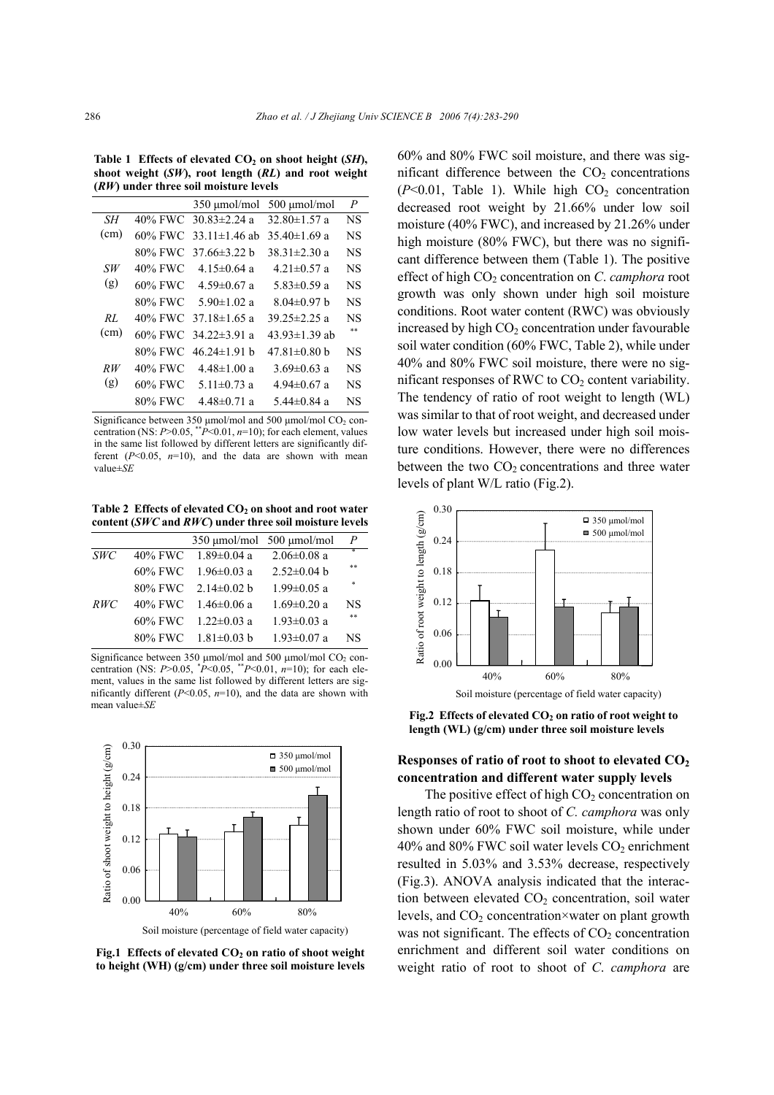Table 1 Effects of elevated CO<sub>2</sub> on shoot height (*SH*), **shoot weight (***SW***), root length (***RL***) and root weight (***RW***) under three soil moisture levels** 

|      |         | $350 \mu$ mol/mol           | 500 umol/mol        | P         |
|------|---------|-----------------------------|---------------------|-----------|
| SН   |         | 40% FWC 30 $83\pm2.24$ a    | 32.80 $\pm$ 1.57 a  | NS        |
| (cm) |         | 60% FWC 33.11 $\pm$ 1.46 ab | $35.40 \pm 1.69$ a  | NS        |
|      |         | 80% FWC 37.66±3.22 b        | 38 31 $\pm$ 2 30 a  | <b>NS</b> |
| SW   | 40% FWC | 4 15±0 64 a                 | $4.21 \pm 0.57$ a   | NS        |
| (g)  | 60% FWC | $4.59 \pm 0.67$ a           | $5.83 \pm 0.59$ a   | NS        |
|      | 80% FWC | $5.90 \pm 1.02$ a           | $8.04\pm0.97$ b     | NS        |
| RI.  |         | 40% FWC 37 18 $\pm$ 1 65 a  | 39 $25\pm 2.25$ a   | NS        |
| (cm) |         | 60% FWC 34.22 $\pm$ 3.91 a  | 43.93 $\pm$ 1.39 ab | **        |
|      | 80% FWC | $46.24 \pm 1.91$ b          | $47.81 \pm 0.80$ b  | NS        |
| RW   | 40% FWC | $4.48 \pm 1.00$ a           | $3.69 \pm 0.63$ a   | NS        |
| (g)  | 60% FWC | $5.11 \pm 0.73$ a           | $4.94 \pm 0.67$ a   | NS        |
|      | 80% FWC | $4.48 \pm 0.71$ a           | $5.44 \pm 0.84$ a   | NS        |

Significance between 350  $\mu$ mol/mol and 500  $\mu$ mol/mol CO<sub>2</sub> concentration (NS:  $P > 0.05$ , \*\* $P < 0.01$ ,  $n=10$ ); for each element, values in the same list followed by different letters are significantly different  $(P<0.05, n=10)$ , and the data are shown with mean value±*SE*

Table 2 Effects of elevated CO<sub>2</sub> on shoot and root water **content (***SWC* **and** *RWC***) under three soil moisture levels** 

|            | $350 \mu$ mol/mol 500 $\mu$ mol/mol |                   | P         |
|------------|-------------------------------------|-------------------|-----------|
| <b>SWC</b> | 40% FWC 1.89 $\pm$ 0.04 a           | $2.06 \pm 0.08$ a | ÷         |
|            | 60% FWC 1.96 $\pm$ 0.03 a           | $2.52 \pm 0.04$ b | **        |
|            | $80\%$ FWC $2.14\pm0.02$ b          | $1.99 \pm 0.05$ a | ×,        |
| RWC        | 40% FWC $1.46\pm0.06$ a             | $1.69 \pm 0.20$ a | <b>NS</b> |
|            | 60% FWC $1.22\pm0.03$ a             | $1.93 \pm 0.03$ a | **        |
|            | 80% FWC $1.81 \pm 0.03$ b           | $1.93 \pm 0.07$ a | NS        |

Significance between 350  $\mu$ mol/mol and 500  $\mu$ mol/mol CO<sub>2</sub> concentration (NS:  $P > 0.05$ ,  $^*P < 0.05$ ,  $^*P < 0.01$ ,  $n=10$ ); for each element, values in the same list followed by different letters are significantly different (*P*<0.05, *n*=10), and the data are shown with mean value±*SE*



Fig.1 Effects of elevated CO<sub>2</sub> on ratio of shoot weight **to height (WH) (g/cm) under three soil moisture levels**

60% and 80% FWC soil moisture, and there was significant difference between the  $CO<sub>2</sub>$  concentrations  $(P<0.01$ , Table 1). While high  $CO<sub>2</sub>$  concentration decreased root weight by 21.66% under low soil moisture (40% FWC), and increased by 21.26% under high moisture (80% FWC), but there was no significant difference between them (Table 1). The positive effect of high CO<sub>2</sub> concentration on *C. camphora* root growth was only shown under high soil moisture conditions. Root water content (RWC) was obviously increased by high  $CO<sub>2</sub>$  concentration under favourable soil water condition (60% FWC, Table 2), while under 40% and 80% FWC soil moisture, there were no significant responses of RWC to  $CO<sub>2</sub>$  content variability. The tendency of ratio of root weight to length (WL) was similar to that of root weight, and decreased under low water levels but increased under high soil moisture conditions. However, there were no differences between the two  $CO<sub>2</sub>$  concentrations and three water levels of plant W/L ratio (Fig.2).



Soil moisture (percentage of field water capacity)

Fig.2 Effects of elevated CO<sub>2</sub> on ratio of root weight to **length (WL) (g/cm) under three soil moisture levels**

# **Responses of ratio of root to shoot to elevated CO2 concentration and different water supply levels**

The positive effect of high  $CO<sub>2</sub>$  concentration on length ratio of root to shoot of *C. camphora* was only shown under 60% FWC soil moisture, while under 40% and 80% FWC soil water levels  $CO<sub>2</sub>$  enrichment resulted in 5.03% and 3.53% decrease, respectively (Fig.3). ANOVA analysis indicated that the interaction between elevated  $CO<sub>2</sub>$  concentration, soil water levels, and  $CO<sub>2</sub>$  concentration×water on plant growth was not significant. The effects of  $CO<sub>2</sub>$  concentration enrichment and different soil water conditions on weight ratio of root to shoot of *C*. *camphora* are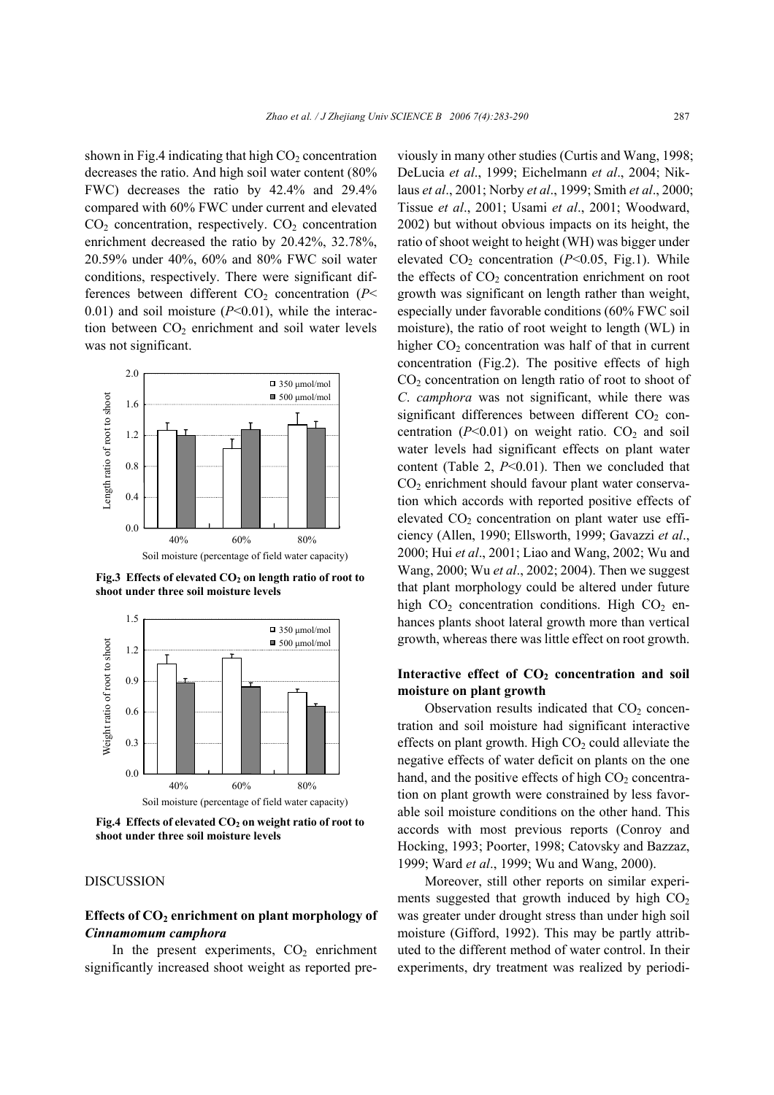shown in Fig.4 indicating that high  $CO<sub>2</sub>$  concentration decreases the ratio. And high soil water content (80% FWC) decreases the ratio by 42.4% and 29.4% compared with 60% FWC under current and elevated  $CO<sub>2</sub>$  concentration, respectively.  $CO<sub>2</sub>$  concentration enrichment decreased the ratio by 20.42%, 32.78%, 20.59% under 40%, 60% and 80% FWC soil water conditions, respectively. There were significant differences between different  $CO<sub>2</sub>$  concentration ( $P<$ 0.01) and soil moisture (*P*<0.01), while the interaction between  $CO<sub>2</sub>$  enrichment and soil water levels was not significant.



Fig.3 Effects of elevated  $CO<sub>2</sub>$  on length ratio of root to **shoot under three soil moisture levels**



Fig.4 Effects of elevated CO<sub>2</sub> on weight ratio of root to **shoot under three soil moisture levels**

## DISCUSSION

# Effects of CO<sub>2</sub> enrichment on plant morphology of *Cinnamomum camphora*

In the present experiments,  $CO<sub>2</sub>$  enrichment significantly increased shoot weight as reported previously in many other studies (Curtis and Wang, 1998; DeLucia *et al*., 1999; Eichelmann *et al*., 2004; Niklaus *et al*., 2001; Norby *et al*., 1999; Smith *et al*., 2000; Tissue *et al*., 2001; Usami *et al*., 2001; Woodward, 2002) but without obvious impacts on its height, the ratio of shoot weight to height (WH) was bigger under elevated  $CO<sub>2</sub>$  concentration ( $P<0.05$ , Fig.1). While the effects of  $CO<sub>2</sub>$  concentration enrichment on root growth was significant on length rather than weight, especially under favorable conditions (60% FWC soil moisture), the ratio of root weight to length (WL) in higher  $CO<sub>2</sub>$  concentration was half of that in current concentration (Fig.2). The positive effects of high CO<sub>2</sub> concentration on length ratio of root to shoot of *C*. *camphora* was not significant, while there was significant differences between different  $CO<sub>2</sub>$  concentration  $(P<0.01)$  on weight ratio.  $CO<sub>2</sub>$  and soil water levels had significant effects on plant water content (Table 2, *P*<0.01). Then we concluded that  $CO<sub>2</sub>$  enrichment should favour plant water conservation which accords with reported positive effects of elevated  $CO<sub>2</sub>$  concentration on plant water use efficiency (Allen, 1990; Ellsworth, 1999; Gavazzi *et al*., 2000; Hui *et al*., 2001; Liao and Wang, 2002; Wu and Wang, 2000; Wu *et al*., 2002; 2004). Then we suggest that plant morphology could be altered under future high  $CO<sub>2</sub>$  concentration conditions. High  $CO<sub>2</sub>$  enhances plants shoot lateral growth more than vertical growth, whereas there was little effect on root growth.

# Interactive effect of CO<sub>2</sub> concentration and soil **moisture on plant growth**

Observation results indicated that  $CO<sub>2</sub>$  concentration and soil moisture had significant interactive effects on plant growth. High  $CO<sub>2</sub>$  could alleviate the negative effects of water deficit on plants on the one hand, and the positive effects of high  $CO<sub>2</sub>$  concentration on plant growth were constrained by less favorable soil moisture conditions on the other hand. This accords with most previous reports (Conroy and Hocking, 1993; Poorter, 1998; Catovsky and Bazzaz, 1999; Ward *et al*., 1999; Wu and Wang, 2000).

Moreover, still other reports on similar experiments suggested that growth induced by high  $CO<sub>2</sub>$ was greater under drought stress than under high soil moisture (Gifford, 1992). This may be partly attributed to the different method of water control. In their experiments, dry treatment was realized by periodi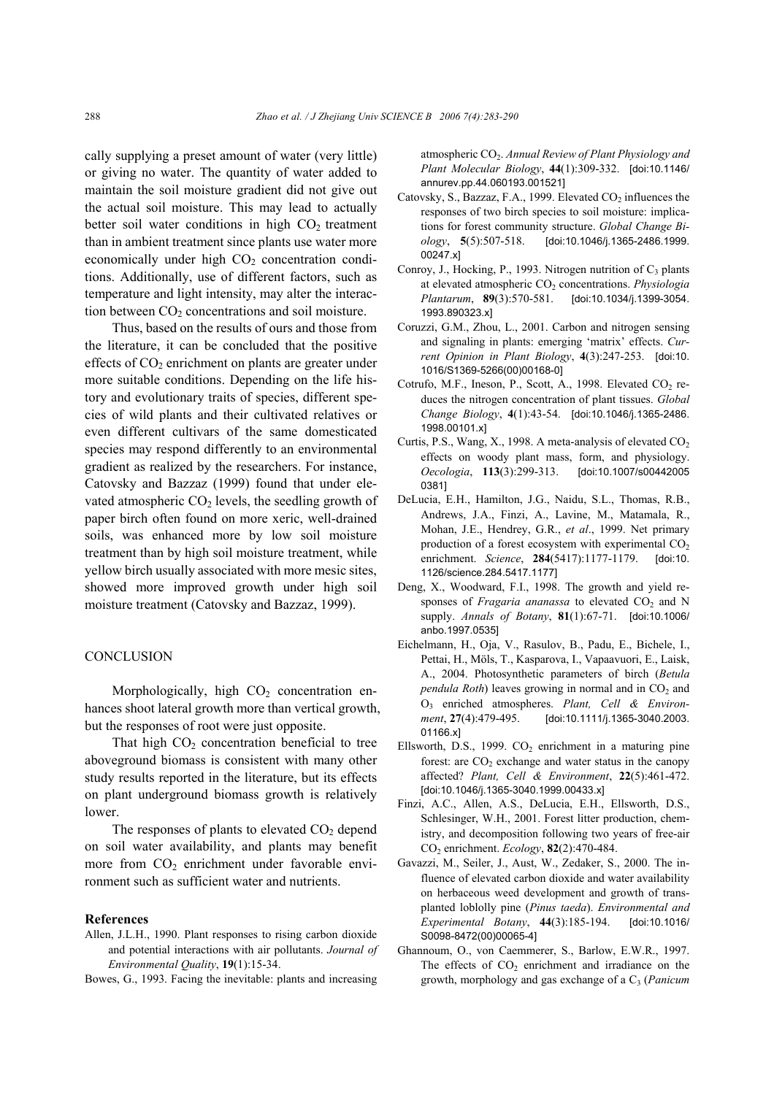cally supplying a preset amount of water (very little) or giving no water. The quantity of water added to maintain the soil moisture gradient did not give out the actual soil moisture. This may lead to actually better soil water conditions in high  $CO<sub>2</sub>$  treatment than in ambient treatment since plants use water more economically under high  $CO<sub>2</sub>$  concentration conditions. Additionally, use of different factors, such as temperature and light intensity, may alter the interaction between  $CO<sub>2</sub>$  concentrations and soil moisture.

Thus, based on the results of ours and those from the literature, it can be concluded that the positive effects of  $CO<sub>2</sub>$  enrichment on plants are greater under more suitable conditions. Depending on the life history and evolutionary traits of species, different species of wild plants and their cultivated relatives or even different cultivars of the same domesticated species may respond differently to an environmental gradient as realized by the researchers. For instance, Catovsky and Bazzaz (1999) found that under elevated atmospheric  $CO<sub>2</sub>$  levels, the seedling growth of paper birch often found on more xeric, well-drained soils, was enhanced more by low soil moisture treatment than by high soil moisture treatment, while yellow birch usually associated with more mesic sites, showed more improved growth under high soil moisture treatment (Catovsky and Bazzaz, 1999).

#### **CONCLUSION**

Morphologically, high  $CO<sub>2</sub>$  concentration enhances shoot lateral growth more than vertical growth, but the responses of root were just opposite.

That high  $CO<sub>2</sub>$  concentration beneficial to tree aboveground biomass is consistent with many other study results reported in the literature, but its effects on plant underground biomass growth is relatively lower.

The responses of plants to elevated  $CO<sub>2</sub>$  depend on soil water availability, and plants may benefit more from  $CO<sub>2</sub>$  enrichment under favorable environment such as sufficient water and nutrients.

#### **References**

Allen, J.L.H., 1990. Plant responses to rising carbon dioxide and potential interactions with air pollutants. *Journal of Environmental Quality*, **19**(1):15-34.

Bowes, G., 1993. Facing the inevitable: plants and increasing

atmospheric CO<sub>2</sub>. Annual Review of Plant Physiology and *Plant Molecular Biology*, **44**(1):309-332. [doi:10.1146/ annurev.pp.44.060193.001521]

- Catovsky, S., Bazzaz, F.A., 1999. Elevated  $CO<sub>2</sub>$  influences the responses of two birch species to soil moisture: implications for forest community structure. *Global Change Biology*, **5**(5):507-518. [doi:10.1046/j.1365-2486.1999. 00247.x]
- Conroy, J., Hocking, P., 1993. Nitrogen nutrition of  $C_3$  plants at elevated atmospheric CO<sub>2</sub> concentrations. *Physiologia Plantarum*, **89**(3):570-581. [doi:10.1034/j.1399-3054. 1993.890323.x]
- Coruzzi, G.M., Zhou, L., 2001. Carbon and nitrogen sensing and signaling in plants: emerging 'matrix' effects. *Current Opinion in Plant Biology*, **4**(3):247-253. [doi:10. 1016/S1369-5266(00)00168-0]
- Cotrufo, M.F., Ineson, P., Scott, A., 1998. Elevated  $CO<sub>2</sub>$  reduces the nitrogen concentration of plant tissues. *Global Change Biology*, **4**(1):43-54. [doi:10.1046/j.1365-2486. 1998.00101.x]
- Curtis, P.S., Wang, X., 1998. A meta-analysis of elevated  $CO<sub>2</sub>$ effects on woody plant mass, form, and physiology. *Oecologia*, **113**(3):299-313. [doi:10.1007/s00442005 0381]
- DeLucia, E.H., Hamilton, J.G., Naidu, S.L., Thomas, R.B., Andrews, J.A., Finzi, A., Lavine, M., Matamala, R., Mohan, J.E., Hendrey, G.R., *et al*., 1999. Net primary production of a forest ecosystem with experimental  $CO<sub>2</sub>$ enrichment. *Science*, **284**(5417):1177-1179. [doi:10. 1126/science.284.5417.1177]
- Deng, X., Woodward, F.I., 1998. The growth and yield responses of *Fragaria ananassa* to elevated  $CO<sub>2</sub>$  and N supply. *Annals of Botany*, **81**(1):67-71. [doi:10.1006/ anbo.1997.0535]
- Eichelmann, H., Oja, V., Rasulov, B., Padu, E., Bichele, I., Pettai, H., Möls, T., Kasparova, I., Vapaavuori, E., Laisk, A., 2004. Photosynthetic parameters of birch (*Betula pendula Roth*) leaves growing in normal and in CO<sub>2</sub> and O3 enriched atmospheres. *Plant, Cell & Environment*, **27**(4):479-495. [doi:10.1111/j.1365-3040.2003. 01166.x]
- Ellsworth, D.S., 1999.  $CO<sub>2</sub>$  enrichment in a maturing pine forest: are  $CO<sub>2</sub>$  exchange and water status in the canopy affected? *Plant, Cell & Environment*, **22**(5):461-472. [doi:10.1046/j.1365-3040.1999.00433.x]
- Finzi, A.C., Allen, A.S., DeLucia, E.H., Ellsworth, D.S., Schlesinger, W.H., 2001. Forest litter production, chemistry, and decomposition following two years of free-air CO2 enrichment. *Ecology*, **82**(2):470-484.
- Gavazzi, M., Seiler, J., Aust, W., Zedaker, S., 2000. The influence of elevated carbon dioxide and water availability on herbaceous weed development and growth of transplanted loblolly pine (*Pinus taeda*). *Environmental and Experimental Botany*, **44**(3):185-194. [doi:10.1016/ S0098-8472(00)00065-4]
- Ghannoum, O., von Caemmerer, S., Barlow, E.W.R., 1997. The effects of  $CO<sub>2</sub>$  enrichment and irradiance on the growth, morphology and gas exchange of a C<sub>3</sub> (*Panicum*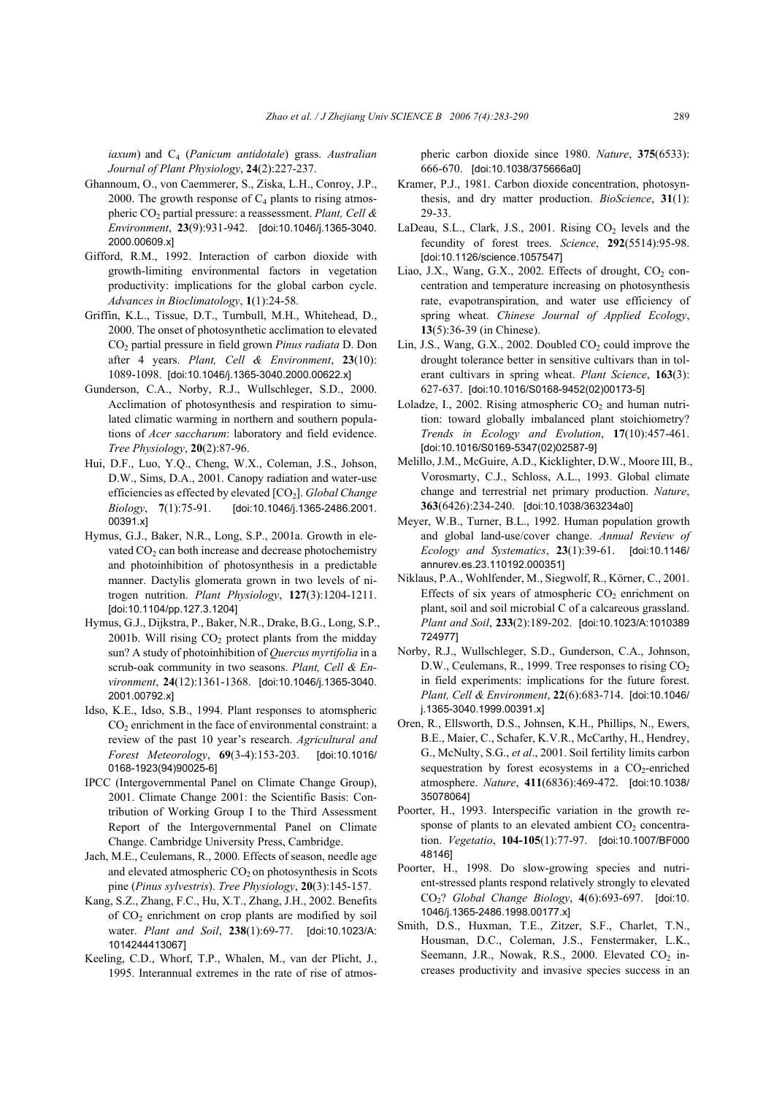*iaxum*) and C4 (*Panicum antidotale*) grass. *Australian Journal of Plant Physiology*, **24**(2):227-237.

- Ghannoum, O., von Caemmerer, S., Ziska, L.H., Conroy, J.P., 2000. The growth response of  $C_4$  plants to rising atmospheric CO2 partial pressure: a reassessment. *Plant, Cell & Environment*, **23**(9):931-942. [doi:10.1046/j.1365-3040. 2000.00609.x]
- Gifford, R.M., 1992. Interaction of carbon dioxide with growth-limiting environmental factors in vegetation productivity: implications for the global carbon cycle. *Advances in Bioclimatology*, **1**(1):24-58.
- Griffin, K.L., Tissue, D.T., Turnbull, M.H., Whitehead, D., 2000. The onset of photosynthetic acclimation to elevated CO2 partial pressure in field grown *Pinus radiata* D. Don after 4 years. *Plant, Cell & Environment*, **23**(10): 1089-1098. [doi:10.1046/j.1365-3040.2000.00622.x]
- Gunderson, C.A., Norby, R.J., Wullschleger, S.D., 2000. Acclimation of photosynthesis and respiration to simulated climatic warming in northern and southern populations of *Acer saccharum*: laboratory and field evidence. *Tree Physiology*, **20**(2):87-96.
- Hui, D.F., Luo, Y.Q., Cheng, W.X., Coleman, J.S., Johson, D.W., Sims, D.A., 2001. Canopy radiation and water-use efficiencies as effected by elevated [CO2]. *Global Change Biology*, **7**(1):75-91. [doi:10.1046/j.1365-2486.2001. 00391.x]
- Hymus, G.J., Baker, N.R., Long, S.P., 2001a. Growth in elevated  $CO<sub>2</sub>$  can both increase and decrease photochemistry and photoinhibition of photosynthesis in a predictable manner. Dactylis glomerata grown in two levels of nitrogen nutrition. *Plant Physiology*, **127**(3):1204-1211. [doi:10.1104/pp.127.3.1204]
- Hymus, G.J., Dijkstra, P., Baker, N.R., Drake, B.G., Long, S.P., 2001b. Will rising  $CO<sub>2</sub>$  protect plants from the midday sun? A study of photoinhibition of *Quercus myrtifolia* in a scrub-oak community in two seasons. *Plant, Cell & Environment*, **24**(12):1361-1368. [doi:10.1046/j.1365-3040. 2001.00792.x]
- Idso, K.E., Idso, S.B., 1994. Plant responses to atomspheric  $CO<sub>2</sub>$  enrichment in the face of environmental constraint: a review of the past 10 year's research. *Agricultural and Forest Meteorology*, **69**(3-4):153-203. [doi:10.1016/ 0168-1923(94)90025-6]
- IPCC (Intergovernmental Panel on Climate Change Group), 2001. Climate Change 2001: the Scientific Basis: Contribution of Working Group I to the Third Assessment Report of the Intergovernmental Panel on Climate Change. Cambridge University Press, Cambridge.
- Jach, M.E., Ceulemans, R., 2000. Effects of season, needle age and elevated atmospheric  $CO<sub>2</sub>$  on photosynthesis in Scots pine (*Pinus sylvestris*). *Tree Physiology*, **20**(3):145-157.
- Kang, S.Z., Zhang, F.C., Hu, X.T., Zhang, J.H., 2002. Benefits of CO2 enrichment on crop plants are modified by soil water. *Plant and Soil*, **238**(1):69-77. [doi:10.1023/A: 1014244413067]
- Keeling, C.D., Whorf, T.P., Whalen, M., van der Plicht, J., 1995. Interannual extremes in the rate of rise of atmos-

pheric carbon dioxide since 1980. *Nature*, **375**(6533): 666-670. [doi:10.1038/375666a0]

- Kramer, P.J., 1981. Carbon dioxide concentration, photosynthesis, and dry matter production. *BioScience*, **31**(1): 29-33.
- LaDeau, S.L., Clark, J.S., 2001. Rising  $CO<sub>2</sub>$  levels and the fecundity of forest trees. *Science*, **292**(5514):95-98. [doi:10.1126/science.1057547]
- Liao, J.X., Wang, G.X., 2002. Effects of drought,  $CO<sub>2</sub>$  concentration and temperature increasing on photosynthesis rate, evapotranspiration, and water use efficiency of spring wheat. *Chinese Journal of Applied Ecology*, **13**(5):36-39 (in Chinese).
- Lin, J.S., Wang, G.X., 2002. Doubled  $CO<sub>2</sub>$  could improve the drought tolerance better in sensitive cultivars than in tolerant cultivars in spring wheat. *Plant Science*, **163**(3): 627-637. [doi:10.1016/S0168-9452(02)00173-5]
- Loladze, I., 2002. Rising atmospheric  $CO<sub>2</sub>$  and human nutrition: toward globally imbalanced plant stoichiometry? *Trends in Ecology and Evolution*, **17**(10):457-461. [doi:10.1016/S0169-5347(02)02587-9]
- Melillo, J.M., McGuire, A.D., Kicklighter, D.W., Moore III, B., Vorosmarty, C.J., Schloss, A.L., 1993. Global climate change and terrestrial net primary production. *Nature*, **363**(6426):234-240. [doi:10.1038/363234a0]
- Meyer, W.B., Turner, B.L., 1992. Human population growth and global land-use/cover change. *Annual Review of Ecology and Systematics*, **23**(1):39-61. [doi:10.1146/ annurev.es.23.110192.000351]
- Niklaus, P.A., Wohlfender, M., Siegwolf, R., Körner, C., 2001. Effects of six years of atmospheric  $CO<sub>2</sub>$  enrichment on plant, soil and soil microbial C of a calcareous grassland. *Plant and Soil*, **233**(2):189-202. [doi:10.1023/A:1010389 724977]
- Norby, R.J., Wullschleger, S.D., Gunderson, C.A., Johnson, D.W., Ceulemans, R., 1999. Tree responses to rising  $CO<sub>2</sub>$ in field experiments: implications for the future forest. *Plant, Cell & Environment*, **22**(6):683-714. [doi:10.1046/ j.1365-3040.1999.00391.x]
- Oren, R., Ellsworth, D.S., Johnsen, K.H., Phillips, N., Ewers, B.E., Maier, C., Schafer, K.V.R., McCarthy, H., Hendrey, G., McNulty, S.G., *et al*., 2001. Soil fertility limits carbon sequestration by forest ecosystems in a  $CO<sub>2</sub>$ -enriched atmosphere. *Nature*, **411**(6836):469-472. [doi:10.1038/ 35078064]
- Poorter, H., 1993. Interspecific variation in the growth response of plants to an elevated ambient  $CO<sub>2</sub>$  concentration. *Vegetatio*, **104-105**(1):77-97. [doi:10.1007/BF000 48146]
- Poorter, H., 1998. Do slow-growing species and nutrient-stressed plants respond relatively strongly to elevated CO2? *Global Change Biology*, **4**(6):693-697. [doi:10. 1046/j.1365-2486.1998.00177.x]
- Smith, D.S., Huxman, T.E., Zitzer, S.F., Charlet, T.N., Housman, D.C., Coleman, J.S., Fenstermaker, L.K., Seemann, J.R., Nowak, R.S., 2000. Elevated  $CO<sub>2</sub>$  increases productivity and invasive species success in an